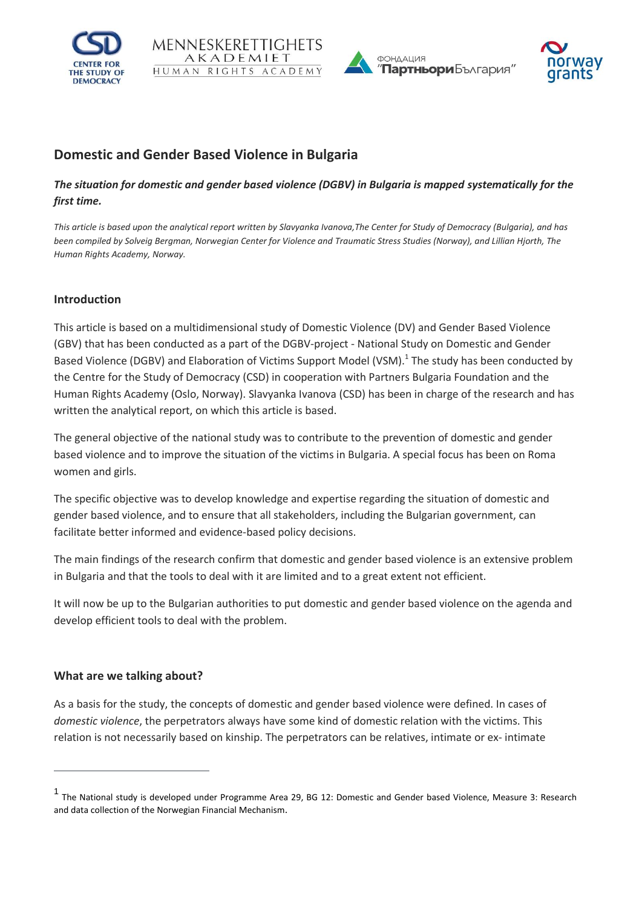







# **Domestic and Gender Based Violence in Bulgaria**

# *The situation for domestic and gender based violence (DGBV) in Bulgaria is mapped systematically for the first time.*

*This article is based upon the analytical report written by Slavyanka Ivanova,The Center for Study of Democracy (Bulgaria), and has been compiled by Solveig Bergman, Norwegian Center for Violence and Traumatic Stress Studies (Norway), and Lillian Hjorth, The Human Rights Academy, Norway.*

## **Introduction**

This article is based on a multidimensional study of Domestic Violence (DV) and Gender Based Violence (GBV) that has been conducted as a part of the DGBV-project - National Study on Domestic and Gender Based Violence (DGBV) and Elaboration of Victims Support Model (VSM).<sup>1</sup> The study has been conducted by the Centre for the Study of Democracy (CSD) in cooperation with Partners Bulgaria Foundation and the Human Rights Academy (Oslo, Norway). Slavyanka Ivanova (CSD) has been in charge of the research and has written the analytical report, on which this article is based.

The general objective of the national study was to contribute to the prevention of domestic and gender based violence and to improve the situation of the victims in Bulgaria. A special focus has been on Roma women and girls.

The specific objective was to develop knowledge and expertise regarding the situation of domestic and gender based violence, and to ensure that all stakeholders, including the Bulgarian government, can facilitate better informed and evidence-based policy decisions.

The main findings of the research confirm that domestic and gender based violence is an extensive problem in Bulgaria and that the tools to deal with it are limited and to a great extent not efficient.

It will now be up to the Bulgarian authorities to put domestic and gender based violence on the agenda and develop efficient tools to deal with the problem.

### **What are we talking about?**

 $\overline{a}$ 

As a basis for the study, the concepts of domestic and gender based violence were defined. In cases of *domestic violence*, the perpetrators always have some kind of domestic relation with the victims. This relation is not necessarily based on kinship. The perpetrators can be relatives, intimate or ex- intimate

<sup>1</sup> The National study is developed under Programme Area 29, BG 12: Domestic and Gender based Violence, Measure 3: Research and data collection of the Norwegian Financial Mechanism.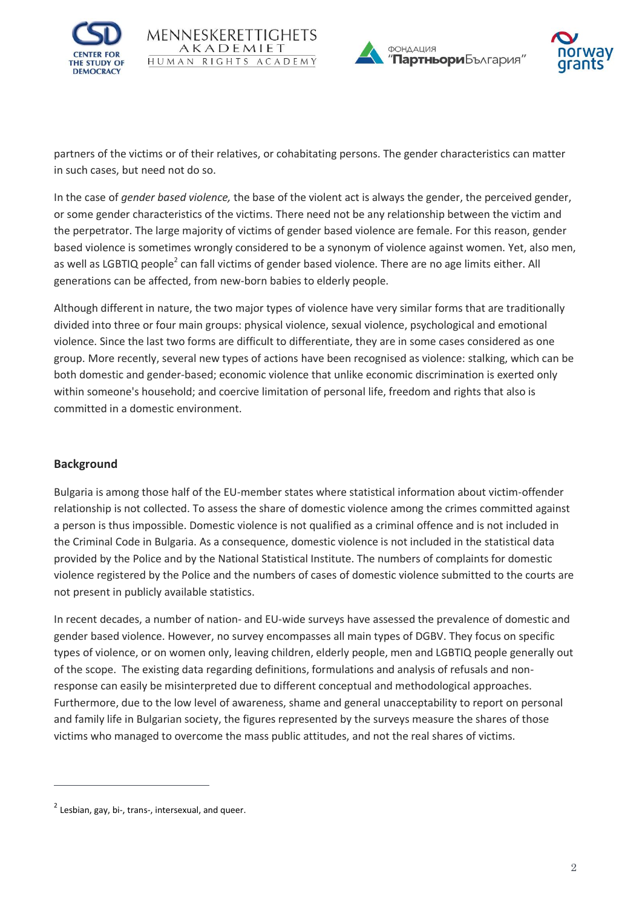







partners of the victims or of their relatives, or cohabitating persons. The gender characteristics can matter in such cases, but need not do so.

In the case of *gender based violence,* the base of the violent act is always the gender, the perceived gender, or some gender characteristics of the victims. There need not be any relationship between the victim and the perpetrator. The large majority of victims of gender based violence are female. For this reason, gender based violence is sometimes wrongly considered to be a synonym of violence against women. Yet, also men, as well as LGBTIQ people<sup>2</sup> can fall victims of gender based violence. There are no age limits either. All generations can be affected, from new-born babies to elderly people.

Although different in nature, the two major types of violence have very similar forms that are traditionally divided into three or four main groups: physical violence, sexual violence, psychological and emotional violence. Since the last two forms are difficult to differentiate, they are in some cases considered as one group. More recently, several new types of actions have been recognised as violence: stalking, which can be both domestic and gender-based; economic violence that unlike economic discrimination is exerted only within someone's household; and coercive limitation of personal life, freedom and rights that also is committed in a domestic environment.

# **Background**

 $\overline{a}$ 

Bulgaria is among those half of the EU-member states where statistical information about victim-offender relationship is not collected. To assess the share of domestic violence among the crimes committed against a person is thus impossible. Domestic violence is not qualified as a criminal offence and is not included in the Criminal Code in Bulgaria. As a consequence, domestic violence is not included in the statistical data provided by the Police and by the National Statistical Institute. The numbers of complaints for domestic violence registered by the Police and the numbers of cases of domestic violence submitted to the courts are not present in publicly available statistics.

In recent decades, a number of nation- and EU-wide surveys have assessed the prevalence of domestic and gender based violence. However, no survey encompasses all main types of DGBV. They focus on specific types of violence, or on women only, leaving children, elderly people, men and LGBTIQ people generally out of the scope. The existing data regarding definitions, formulations and analysis of refusals and nonresponse can easily be misinterpreted due to different conceptual and methodological approaches. Furthermore, due to the low level of awareness, shame and general unacceptability to report on personal and family life in Bulgarian society, the figures represented by the surveys measure the shares of those victims who managed to overcome the mass public attitudes, and not the real shares of victims.

 $^{2}$  Lesbian, gay, bi-, trans-, intersexual, and queer.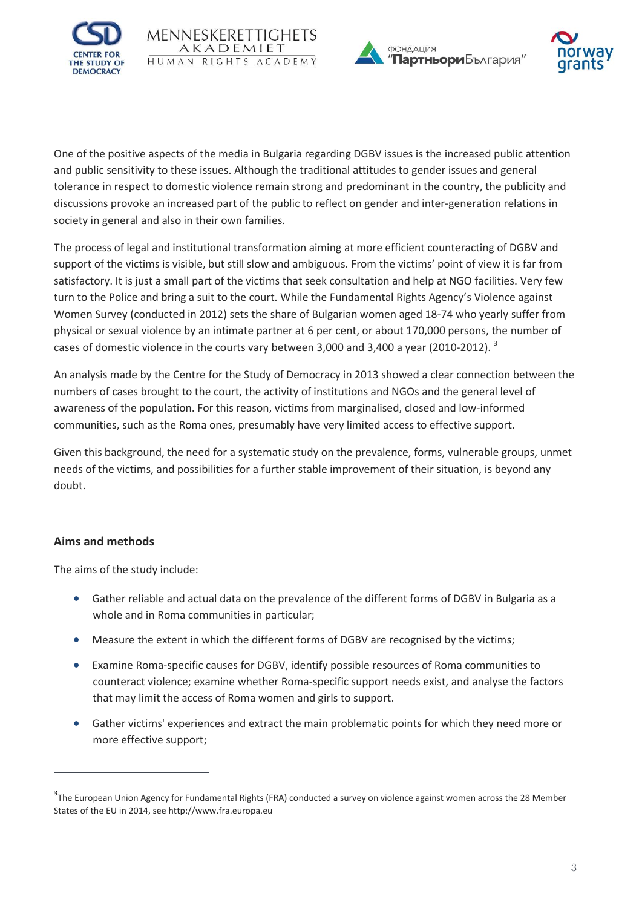





One of the positive aspects of the media in Bulgaria regarding DGBV issues is the increased public attention and public sensitivity to these issues. Although the traditional attitudes to gender issues and general tolerance in respect to domestic violence remain strong and predominant in the country, the publicity and discussions provoke an increased part of the public to reflect on gender and inter-generation relations in society in general and also in their own families.

The process of legal and institutional transformation aiming at more efficient counteracting of DGBV and support of the victims is visible, but still slow and ambiguous. From the victims' point of view it is far from satisfactory. It is just a small part of the victims that seek consultation and help at NGO facilities. Very few turn to the Police and bring a suit to the court. While the Fundamental Rights Agency's Violence against Women Survey (conducted in 2012) sets the share of Bulgarian women aged 18-74 who yearly suffer from physical or sexual violence by an intimate partner at 6 per cent, or about 170,000 persons, the number of cases of domestic violence in the courts vary between 3,000 and 3,400 a year (2010-2012).  $^{3}$ 

An analysis made by the Centre for the Study of Democracy in 2013 showed a clear connection between the numbers of cases brought to the court, the activity of institutions and NGOs and the general level of awareness of the population. For this reason, victims from marginalised, closed and low-informed communities, such as the Roma ones, presumably have very limited access to effective support.

Given this background, the need for a systematic study on the prevalence, forms, vulnerable groups, unmet needs of the victims, and possibilities for a further stable improvement of their situation, is beyond any doubt.

# **Aims and methods**

 $\overline{a}$ 

The aims of the study include:

- Gather reliable and actual data on the prevalence of the different forms of DGBV in Bulgaria as a whole and in Roma communities in particular;
- Measure the extent in which the different forms of DGBV are recognised by the victims;
- Examine Roma-specific causes for DGBV, identify possible resources of Roma communities to counteract violence; examine whether Roma-specific support needs exist, and analyse the factors that may limit the access of Roma women and girls to support.
- Gather victims' experiences and extract the main problematic points for which they need more or more effective support;

<sup>&</sup>lt;sup>3</sup>The European Union Agency for Fundamental Rights (FRA) conducted a survey on violence against women across the 28 Member States of the EU in 2014, see http://www.fra.europa.eu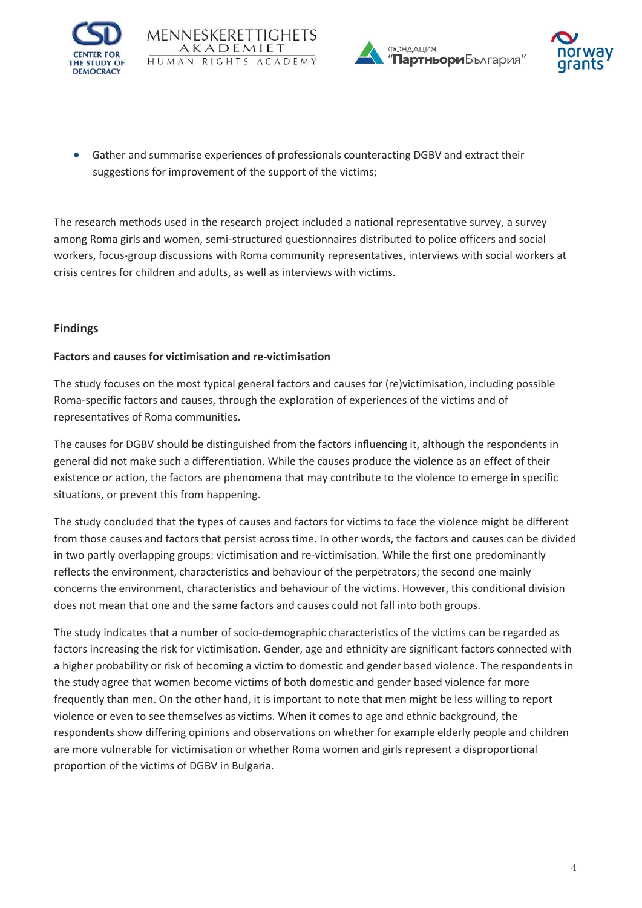







 Gather and summarise experiences of professionals counteracting DGBV and extract their suggestions for improvement of the support of the victims;

The research methods used in the research project included a national representative survey, a survey among Roma girls and women, semi-structured questionnaires distributed to police officers and social workers, focus-group discussions with Roma community representatives, interviews with social workers at crisis centres for children and adults, as well as interviews with victims.

## **Findings**

### **Factors and causes for victimisation and re-victimisation**

The study focuses on the most typical general factors and causes for (re)victimisation, including possible Roma-specific factors and causes, through the exploration of experiences of the victims and of representatives of Roma communities.

The causes for DGBV should be distinguished from the factors influencing it, although the respondents in general did not make such a differentiation. While the causes produce the violence as an effect of their existence or action, the factors are phenomena that may contribute to the violence to emerge in specific situations, or prevent this from happening.

The study concluded that the types of causes and factors for victims to face the violence might be different from those causes and factors that persist across time. In other words, the factors and causes can be divided in two partly overlapping groups: victimisation and re-victimisation. While the first one predominantly reflects the environment, characteristics and behaviour of the perpetrators; the second one mainly concerns the environment, characteristics and behaviour of the victims. However, this conditional division does not mean that one and the same factors and causes could not fall into both groups.

The study indicates that a number of socio-demographic characteristics of the victims can be regarded as factors increasing the risk for victimisation. Gender, age and ethnicity are significant factors connected with a higher probability or risk of becoming a victim to domestic and gender based violence. The respondents in the study agree that women become victims of both domestic and gender based violence far more frequently than men. On the other hand, it is important to note that men might be less willing to report violence or even to see themselves as victims. When it comes to age and ethnic background, the respondents show differing opinions and observations on whether for example elderly people and children are more vulnerable for victimisation or whether Roma women and girls represent a disproportional proportion of the victims of DGBV in Bulgaria.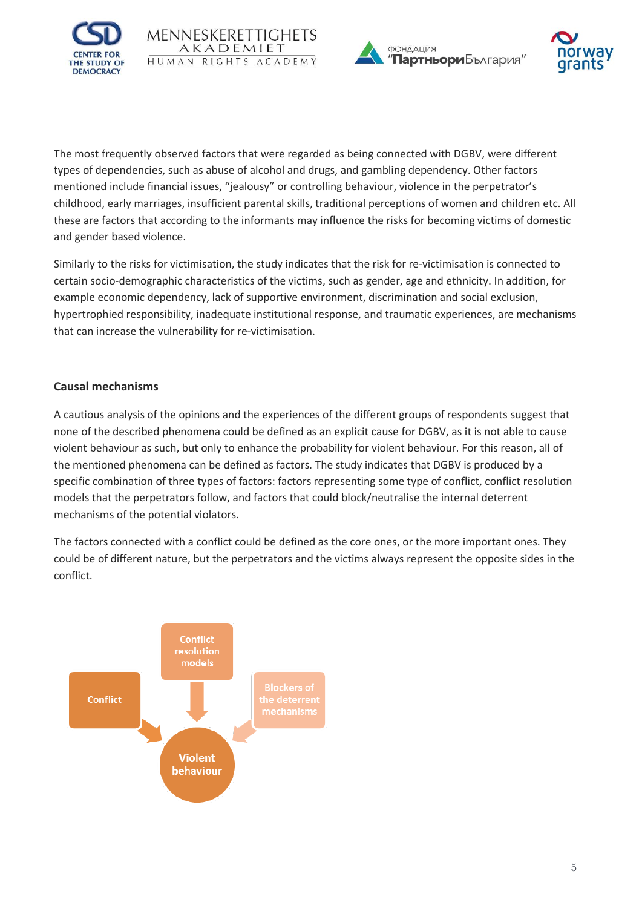





The most frequently observed factors that were regarded as being connected with DGBV, were different types of dependencies, such as abuse of alcohol and drugs, and gambling dependency. Other factors mentioned include financial issues, "jealousy" or controlling behaviour, violence in the perpetrator's childhood, early marriages, insufficient parental skills, traditional perceptions of women and children etc. All these are factors that according to the informants may influence the risks for becoming victims of domestic and gender based violence.

Similarly to the risks for victimisation, the study indicates that the risk for re-victimisation is connected to certain socio-demographic characteristics of the victims, such as gender, age and ethnicity. In addition, for example economic dependency, lack of supportive environment, discrimination and social exclusion, hypertrophied responsibility, inadequate institutional response, and traumatic experiences, are mechanisms that can increase the vulnerability for re-victimisation.

## **Causal mechanisms**

A cautious analysis of the opinions and the experiences of the different groups of respondents suggest that none of the described phenomena could be defined as an explicit cause for DGBV, as it is not able to cause violent behaviour as such, but only to enhance the probability for violent behaviour. For this reason, all of the mentioned phenomena can be defined as factors. The study indicates that DGBV is produced by a specific combination of three types of factors: factors representing some type of conflict, conflict resolution models that the perpetrators follow, and factors that could block/neutralise the internal deterrent mechanisms of the potential violators.

The factors connected with a conflict could be defined as the core ones, or the more important ones. They could be of different nature, but the perpetrators and the victims always represent the opposite sides in the conflict.

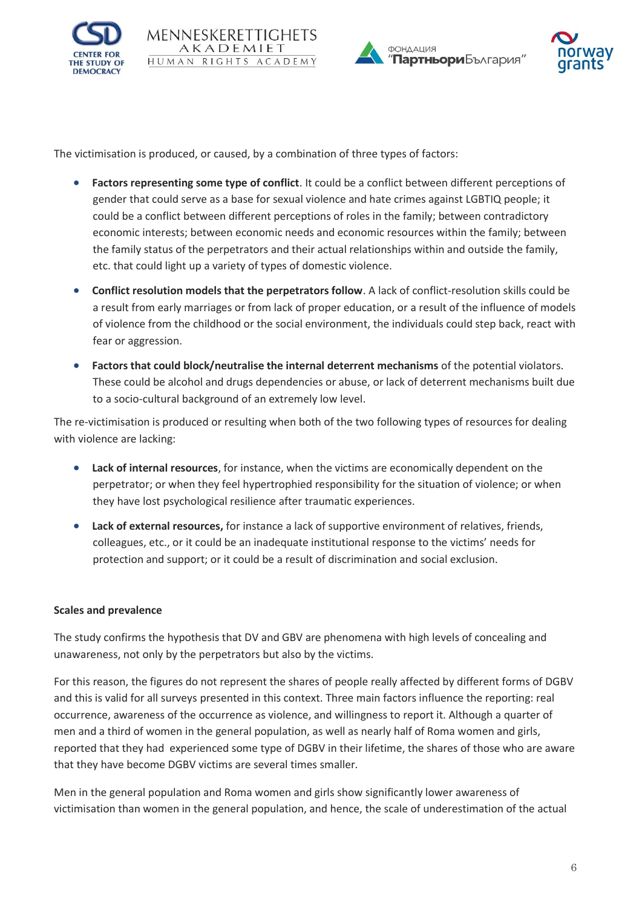







The victimisation is produced, or caused, by a combination of three types of factors:

- **Factors representing some type of conflict**. It could be a conflict between different perceptions of gender that could serve as a base for sexual violence and hate crimes against LGBTIQ people; it could be a conflict between different perceptions of roles in the family; between contradictory economic interests; between economic needs and economic resources within the family; between the family status of the perpetrators and their actual relationships within and outside the family, etc. that could light up a variety of types of domestic violence.
- **Conflict resolution models that the perpetrators follow**. A lack of conflict-resolution skills could be a result from early marriages or from lack of proper education, or a result of the influence of models of violence from the childhood or the social environment, the individuals could step back, react with fear or aggression.
- **Factors that could block/neutralise the internal deterrent mechanisms** of the potential violators. These could be alcohol and drugs dependencies or abuse, or lack of deterrent mechanisms built due to a socio-cultural background of an extremely low level.

The re-victimisation is produced or resulting when both of the two following types of resources for dealing with violence are lacking:

- **Lack of internal resources**, for instance, when the victims are economically dependent on the perpetrator; or when they feel hypertrophied responsibility for the situation of violence; or when they have lost psychological resilience after traumatic experiences.
- **Lack of external resources,** for instance a lack of supportive environment of relatives, friends, colleagues, etc., or it could be an inadequate institutional response to the victims' needs for protection and support; or it could be a result of discrimination and social exclusion.

#### **Scales and prevalence**

The study confirms the hypothesis that DV and GBV are phenomena with high levels of concealing and unawareness, not only by the perpetrators but also by the victims.

For this reason, the figures do not represent the shares of people really affected by different forms of DGBV and this is valid for all surveys presented in this context. Three main factors influence the reporting: real occurrence, awareness of the occurrence as violence, and willingness to report it. Although a quarter of men and a third of women in the general population, as well as nearly half of Roma women and girls, reported that they had experienced some type of DGBV in their lifetime, the shares of those who are aware that they have become DGBV victims are several times smaller.

Men in the general population and Roma women and girls show significantly lower awareness of victimisation than women in the general population, and hence, the scale of underestimation of the actual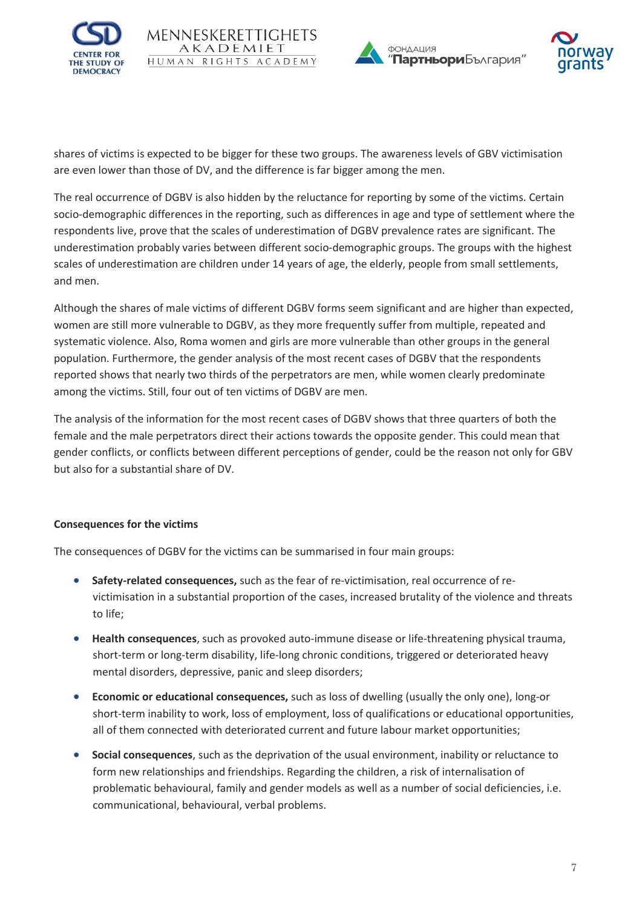







shares of victims is expected to be bigger for these two groups. The awareness levels of GBV victimisation are even lower than those of DV, and the difference is far bigger among the men.

The real occurrence of DGBV is also hidden by the reluctance for reporting by some of the victims. Certain socio-demographic differences in the reporting, such as differences in age and type of settlement where the respondents live, prove that the scales of underestimation of DGBV prevalence rates are significant. The underestimation probably varies between different socio-demographic groups. The groups with the highest scales of underestimation are children under 14 years of age, the elderly, people from small settlements, and men.

Although the shares of male victims of different DGBV forms seem significant and are higher than expected, women are still more vulnerable to DGBV, as they more frequently suffer from multiple, repeated and systematic violence. Also, Roma women and girls are more vulnerable than other groups in the general population. Furthermore, the gender analysis of the most recent cases of DGBV that the respondents reported shows that nearly two thirds of the perpetrators are men, while women clearly predominate among the victims. Still, four out of ten victims of DGBV are men.

The analysis of the information for the most recent cases of DGBV shows that three quarters of both the female and the male perpetrators direct their actions towards the opposite gender. This could mean that gender conflicts, or conflicts between different perceptions of gender, could be the reason not only for GBV but also for a substantial share of DV.

# **Consequences for the victims**

The consequences of DGBV for the victims can be summarised in four main groups:

- **Safety-related consequences,** such as the fear of re-victimisation, real occurrence of revictimisation in a substantial proportion of the cases, increased brutality of the violence and threats to life;
- **Health consequences**, such as provoked auto-immune disease or life-threatening physical trauma, short-term or long-term disability, life-long chronic conditions, triggered or deteriorated heavy mental disorders, depressive, panic and sleep disorders;
- **Economic or educational consequences,** such as loss of dwelling (usually the only one), long-or short-term inability to work, loss of employment, loss of qualifications or educational opportunities, all of them connected with deteriorated current and future labour market opportunities;
- **Social consequences**, such as the deprivation of the usual environment, inability or reluctance to form new relationships and friendships. Regarding the children, a risk of internalisation of problematic behavioural, family and gender models as well as a number of social deficiencies, i.e. communicational, behavioural, verbal problems.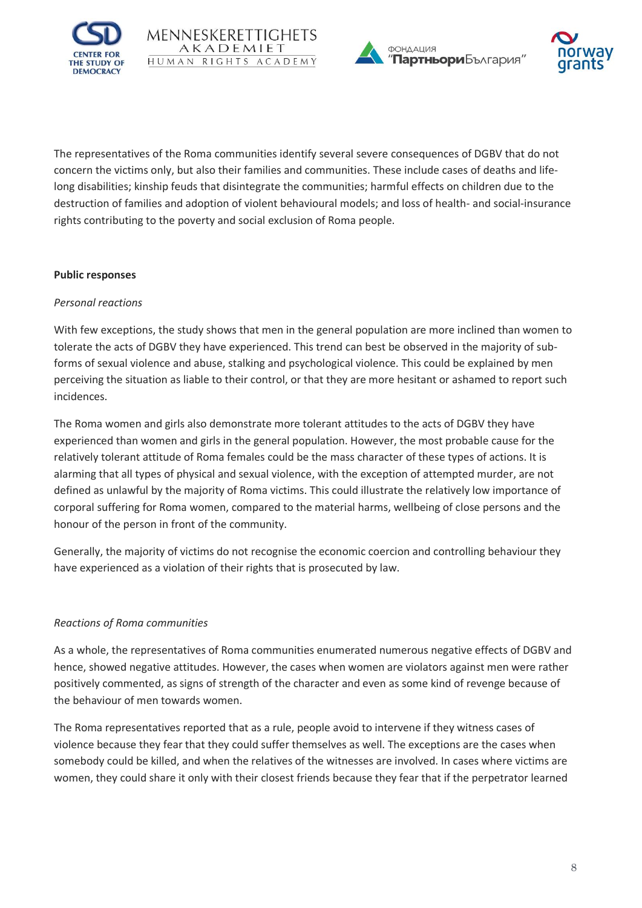

MENNESKERETTIGI AKADEMIET

HUMAN RIGHTS ACADEMY





The representatives of the Roma communities identify several severe consequences of DGBV that do not concern the victims only, but also their families and communities. These include cases of deaths and lifelong disabilities; kinship feuds that disintegrate the communities; harmful effects on children due to the destruction of families and adoption of violent behavioural models; and loss of health- and social-insurance rights contributing to the poverty and social exclusion of Roma people.

#### **Public responses**

#### *Personal reactions*

With few exceptions, the study shows that men in the general population are more inclined than women to tolerate the acts of DGBV they have experienced. This trend can best be observed in the majority of subforms of sexual violence and abuse, stalking and psychological violence. This could be explained by men perceiving the situation as liable to their control, or that they are more hesitant or ashamed to report such incidences.

The Roma women and girls also demonstrate more tolerant attitudes to the acts of DGBV they have experienced than women and girls in the general population. However, the most probable cause for the relatively tolerant attitude of Roma females could be the mass character of these types of actions. It is alarming that all types of physical and sexual violence, with the exception of attempted murder, are not defined as unlawful by the majority of Roma victims. This could illustrate the relatively low importance of corporal suffering for Roma women, compared to the material harms, wellbeing of close persons and the honour of the person in front of the community.

Generally, the majority of victims do not recognise the economic coercion and controlling behaviour they have experienced as a violation of their rights that is prosecuted by law.

### *Reactions of Roma communities*

As a whole, the representatives of Roma communities enumerated numerous negative effects of DGBV and hence, showed negative attitudes. However, the cases when women are violators against men were rather positively commented, as signs of strength of the character and even as some kind of revenge because of the behaviour of men towards women.

The Roma representatives reported that as a rule, people avoid to intervene if they witness cases of violence because they fear that they could suffer themselves as well. The exceptions are the cases when somebody could be killed, and when the relatives of the witnesses are involved. In cases where victims are women, they could share it only with their closest friends because they fear that if the perpetrator learned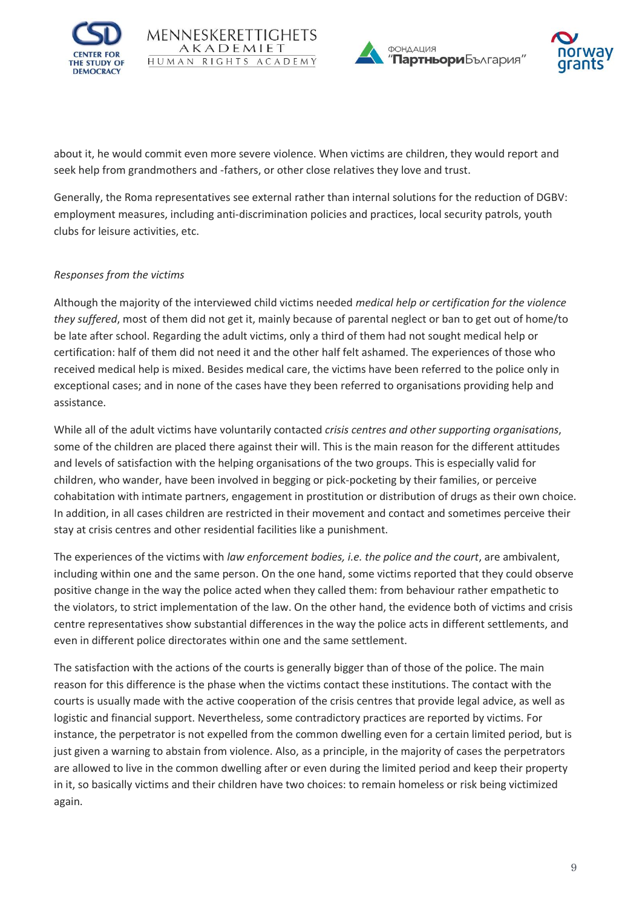





about it, he would commit even more severe violence. When victims are children, they would report and seek help from grandmothers and -fathers, or other close relatives they love and trust.

MENNESKERETTIGI AKADEMIET

Generally, the Roma representatives see external rather than internal solutions for the reduction of DGBV: employment measures, including anti-discrimination policies and practices, local security patrols, youth clubs for leisure activities, etc.

### *Responses from the victims*

Although the majority of the interviewed child victims needed *medical help or certification for the violence they suffered*, most of them did not get it, mainly because of parental neglect or ban to get out of home/to be late after school. Regarding the adult victims, only a third of them had not sought medical help or certification: half of them did not need it and the other half felt ashamed. The experiences of those who received medical help is mixed. Besides medical care, the victims have been referred to the police only in exceptional cases; and in none of the cases have they been referred to organisations providing help and assistance.

While all of the adult victims have voluntarily contacted *crisis centres and other supporting organisations*, some of the children are placed there against their will. This is the main reason for the different attitudes and levels of satisfaction with the helping organisations of the two groups. This is especially valid for children, who wander, have been involved in begging or pick-pocketing by their families, or perceive cohabitation with intimate partners, engagement in prostitution or distribution of drugs as their own choice. In addition, in all cases children are restricted in their movement and contact and sometimes perceive their stay at crisis centres and other residential facilities like a punishment.

The experiences of the victims with *law enforcement bodies, i.e. the police and the court*, are ambivalent, including within one and the same person. On the one hand, some victims reported that they could observe positive change in the way the police acted when they called them: from behaviour rather empathetic to the violators, to strict implementation of the law. On the other hand, the evidence both of victims and crisis centre representatives show substantial differences in the way the police acts in different settlements, and even in different police directorates within one and the same settlement.

The satisfaction with the actions of the courts is generally bigger than of those of the police. The main reason for this difference is the phase when the victims contact these institutions. The contact with the courts is usually made with the active cooperation of the crisis centres that provide legal advice, as well as logistic and financial support. Nevertheless, some contradictory practices are reported by victims. For instance, the perpetrator is not expelled from the common dwelling even for a certain limited period, but is just given a warning to abstain from violence. Also, as a principle, in the majority of cases the perpetrators are allowed to live in the common dwelling after or even during the limited period and keep their property in it, so basically victims and their children have two choices: to remain homeless or risk being victimized again.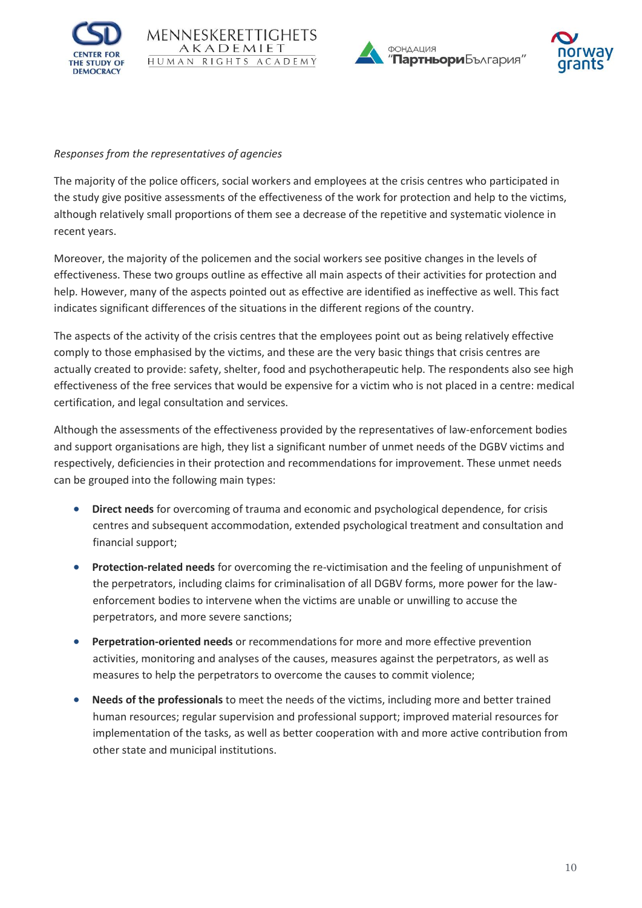







#### *Responses from the representatives of agencies*

The majority of the police officers, social workers and employees at the crisis centres who participated in the study give positive assessments of the effectiveness of the work for protection and help to the victims, although relatively small proportions of them see a decrease of the repetitive and systematic violence in recent years.

Moreover, the majority of the policemen and the social workers see positive changes in the levels of effectiveness. These two groups outline as effective all main aspects of their activities for protection and help. However, many of the aspects pointed out as effective are identified as ineffective as well. This fact indicates significant differences of the situations in the different regions of the country.

The aspects of the activity of the crisis centres that the employees point out as being relatively effective comply to those emphasised by the victims, and these are the very basic things that crisis centres are actually created to provide: safety, shelter, food and psychotherapeutic help. The respondents also see high effectiveness of the free services that would be expensive for a victim who is not placed in a centre: medical certification, and legal consultation and services.

Although the assessments of the effectiveness provided by the representatives of law-enforcement bodies and support organisations are high, they list a significant number of unmet needs of the DGBV victims and respectively, deficiencies in their protection and recommendations for improvement. These unmet needs can be grouped into the following main types:

- **Direct needs** for overcoming of trauma and economic and psychological dependence, for crisis centres and subsequent accommodation, extended psychological treatment and consultation and financial support;
- **Protection-related needs** for overcoming the re-victimisation and the feeling of unpunishment of the perpetrators, including claims for criminalisation of all DGBV forms, more power for the lawenforcement bodies to intervene when the victims are unable or unwilling to accuse the perpetrators, and more severe sanctions;
- **Perpetration-oriented needs** or recommendations for more and more effective prevention activities, monitoring and analyses of the causes, measures against the perpetrators, as well as measures to help the perpetrators to overcome the causes to commit violence;
- **Needs of the professionals** to meet the needs of the victims, including more and better trained human resources; regular supervision and professional support; improved material resources for implementation of the tasks, as well as better cooperation with and more active contribution from other state and municipal institutions.